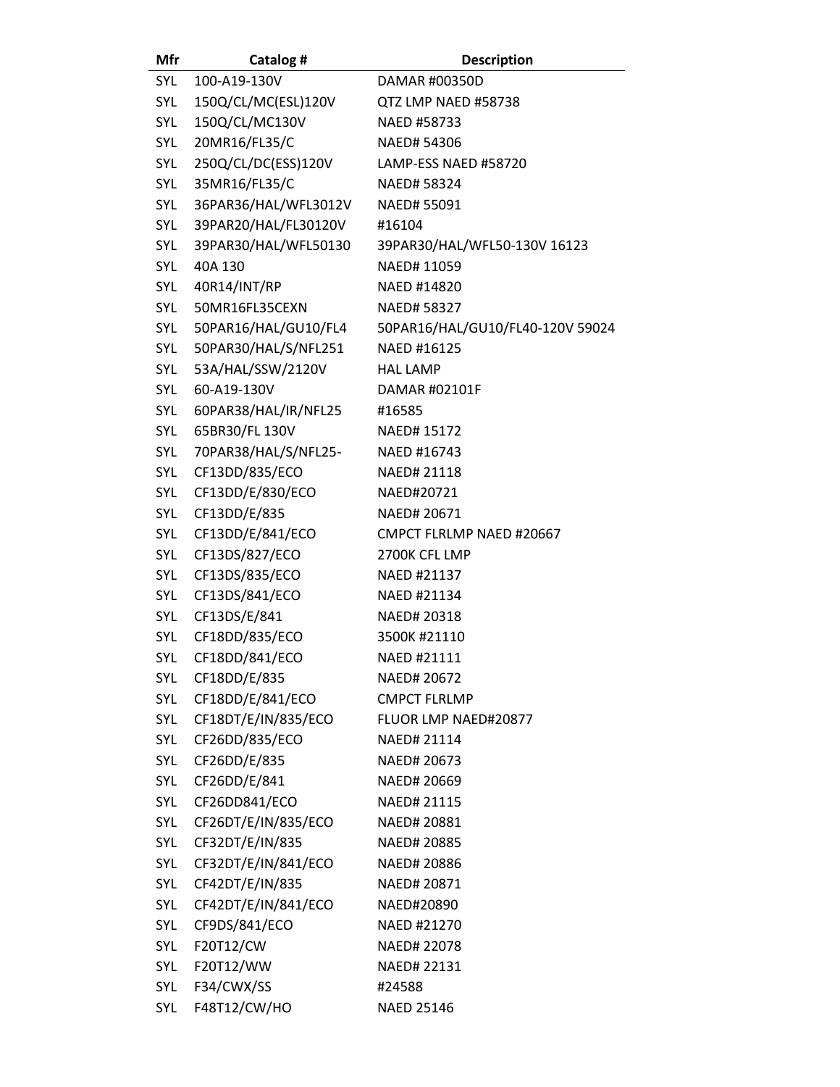| Mfr | Catalog #            | <b>Description</b>               |
|-----|----------------------|----------------------------------|
| SYL | 100-A19-130V         | DAMAR #00350D                    |
| SYL | 150Q/CL/MC(ESL)120V  | QTZ LMP NAED #58738              |
| SYL | 150Q/CL/MC130V       | NAED #58733                      |
| SYL | 20MR16/FL35/C        | <b>NAED# 54306</b>               |
| SYL | 250Q/CL/DC(ESS)120V  | LAMP-ESS NAED #58720             |
| SYL | 35MR16/FL35/C        | NAED# 58324                      |
| SYL | 36PAR36/HAL/WFL3012V | NAED# 55091                      |
| SYL | 39PAR20/HAL/FL30120V | #16104                           |
| SYL | 39PAR30/HAL/WFL50130 | 39PAR30/HAL/WFL50-130V 16123     |
| SYL | 40A 130              | NAED# 11059                      |
| SYL | 40R14/INT/RP         | NAED #14820                      |
| SYL | 50MR16FL35CEXN       | NAED# 58327                      |
| SYL | 50PAR16/HAL/GU10/FL4 | 50PAR16/HAL/GU10/FL40-120V 59024 |
| SYL | 50PAR30/HAL/S/NFL251 | NAED #16125                      |
| SYL | 53A/HAL/SSW/2120V    | <b>HAL LAMP</b>                  |
| SYL | 60-A19-130V          | DAMAR #02101F                    |
| SYL | 60PAR38/HAL/IR/NFL25 | #16585                           |
| SYL | 65BR30/FL 130V       | NAED# 15172                      |
| SYL | 70PAR38/HAL/S/NFL25- | NAED #16743                      |
| SYL | CF13DD/835/ECO       | NAED# 21118                      |
| SYL | CF13DD/E/830/ECO     | NAED#20721                       |
| SYL | CF13DD/E/835         | NAED# 20671                      |
| SYL | CF13DD/E/841/ECO     | CMPCT FLRLMP NAED #20667         |
| SYL | CF13DS/827/ECO       | 2700K CFL LMP                    |
| SYL | CF13DS/835/ECO       | NAED #21137                      |
| SYL | CF13DS/841/ECO       | NAED #21134                      |
| SYL | CF13DS/E/841         | NAED# 20318                      |
| SYL | CF18DD/835/ECO       | 3500K#21110                      |
| SYL | CF18DD/841/ECO       | NAED #21111                      |
| SYL | CF18DD/E/835         | NAED# 20672                      |
| SYL | CF18DD/E/841/ECO     | <b>CMPCT FLRLMP</b>              |
| SYL | CF18DT/E/IN/835/ECO  | FLUOR LMP NAED#20877             |
| SYL | CF26DD/835/ECO       | NAED# 21114                      |
| SYL | CF26DD/E/835         | NAED# 20673                      |
| SYL | CF26DD/E/841         | NAED# 20669                      |
| SYL | CF26DD841/ECO        | NAED# 21115                      |
| SYL | CF26DT/E/IN/835/ECO  | NAED# 20881                      |
| SYL | CF32DT/E/IN/835      | NAED# 20885                      |
| SYL | CF32DT/E/IN/841/ECO  | NAED# 20886                      |
| SYL | CF42DT/E/IN/835      | NAED# 20871                      |
| SYL | CF42DT/E/IN/841/ECO  | NAED#20890                       |
| SYL | CF9DS/841/ECO        | NAED #21270                      |
| SYL | F20T12/CW            | NAED# 22078                      |
| SYL | F20T12/WW            | NAED# 22131                      |
| SYL | F34/CWX/SS           | #24588                           |
| SYL | F48T12/CW/HO         | <b>NAED 25146</b>                |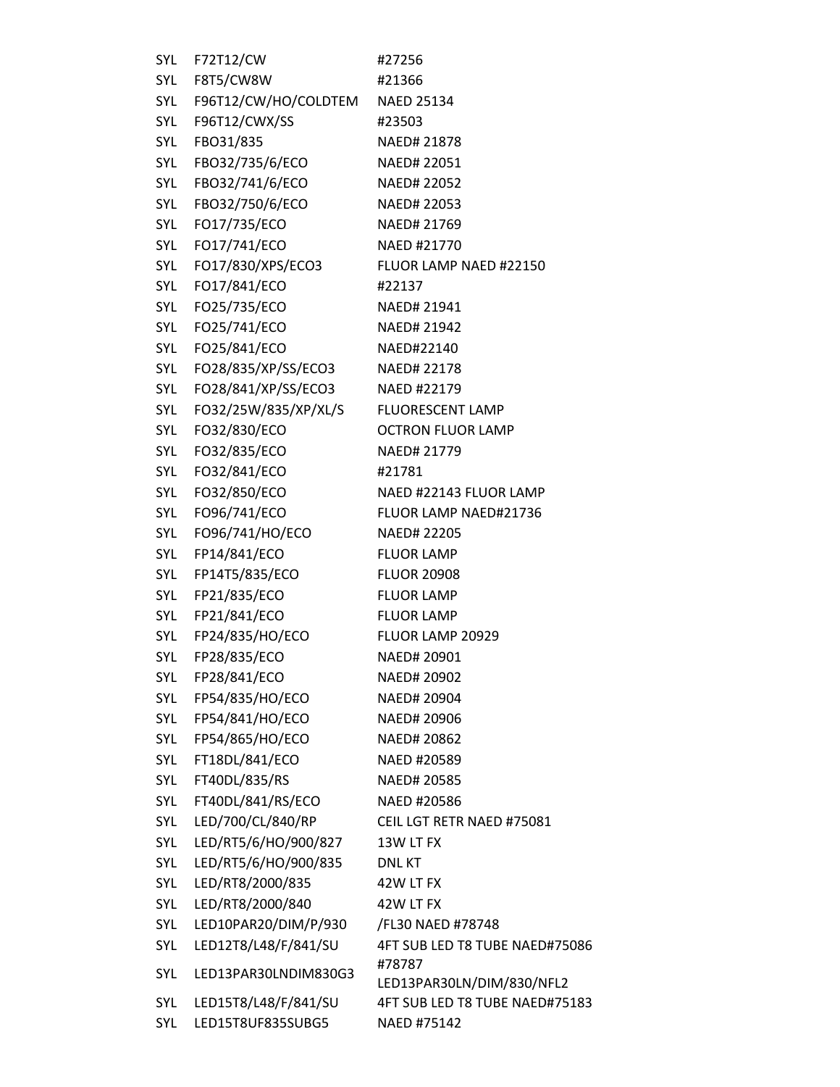| SYL | F72T12/CW                | #27256                              |
|-----|--------------------------|-------------------------------------|
| SYL | F8T5/CW8W                | #21366                              |
| SYL | F96T12/CW/HO/COLDTEM     | <b>NAED 25134</b>                   |
| SYL | F96T12/CWX/SS            | #23503                              |
| SYL | FBO31/835                | NAED# 21878                         |
|     | SYL FBO32/735/6/ECO      | NAED# 22051                         |
| SYL | FBO32/741/6/ECO          | NAED# 22052                         |
| SYL | FBO32/750/6/ECO          | NAED# 22053                         |
| SYL | FO17/735/ECO             | NAED# 21769                         |
|     | SYL FO17/741/ECO         | NAED #21770                         |
|     | SYL FO17/830/XPS/ECO3    | FLUOR LAMP NAED #22150              |
| SYL | FO17/841/ECO             | #22137                              |
| SYL | FO25/735/ECO             | NAED# 21941                         |
|     | SYL FO25/741/ECO         | NAED# 21942                         |
|     | SYL FO25/841/ECO         | NAED#22140                          |
| SYL | FO28/835/XP/SS/ECO3      | NAED# 22178                         |
| SYL | FO28/841/XP/SS/ECO3      | NAED #22179                         |
|     | SYL FO32/25W/835/XP/XL/S | <b>FLUORESCENT LAMP</b>             |
| SYL | FO32/830/ECO             | <b>OCTRON FLUOR LAMP</b>            |
| SYL | FO32/835/ECO             | NAED# 21779                         |
| SYL | FO32/841/ECO             | #21781                              |
|     | SYL FO32/850/ECO         | NAED #22143 FLUOR LAMP              |
| SYL | FO96/741/ECO             | FLUOR LAMP NAED#21736               |
| SYL | FO96/741/HO/ECO          | NAED# 22205                         |
| SYL | FP14/841/ECO             | <b>FLUOR LAMP</b>                   |
| SYL | FP14T5/835/ECO           | <b>FLUOR 20908</b>                  |
| SYL | FP21/835/ECO             | <b>FLUOR LAMP</b>                   |
| SYL | FP21/841/ECO             | <b>FLUOR LAMP</b>                   |
| SYL | FP24/835/HO/ECO          | FLUOR LAMP 20929                    |
| SYL | FP28/835/ECO             | NAED# 20901                         |
| SYL | FP28/841/ECO             | NAED# 20902                         |
| SYL | FP54/835/HO/ECO          | NAED# 20904                         |
| SYL | FP54/841/HO/ECO          | NAED# 20906                         |
| SYL | FP54/865/HO/ECO          | NAED# 20862                         |
| SYL | FT18DL/841/ECO           | NAED #20589                         |
| SYL | FT40DL/835/RS            | NAED# 20585                         |
| SYL | FT40DL/841/RS/ECO        | NAED #20586                         |
| SYL | LED/700/CL/840/RP        | CEIL LGT RETR NAED #75081           |
| SYL | LED/RT5/6/HO/900/827     | 13W LT FX                           |
| SYL | LED/RT5/6/HO/900/835     | <b>DNLKT</b>                        |
| SYL | LED/RT8/2000/835         | 42W LT FX                           |
| SYL | LED/RT8/2000/840         | 42W LT FX                           |
| SYL | LED10PAR20/DIM/P/930     | /FL30 NAED #78748                   |
| SYL | LED12T8/L48/F/841/SU     | 4FT SUB LED T8 TUBE NAED#75086      |
| SYL | LED13PAR30LNDIM830G3     | #78787<br>LED13PAR30LN/DIM/830/NFL2 |
| SYL | LED15T8/L48/F/841/SU     | 4FT SUB LED T8 TUBE NAED#75183      |
| SYL | LED15T8UF835SUBG5        | NAED #75142                         |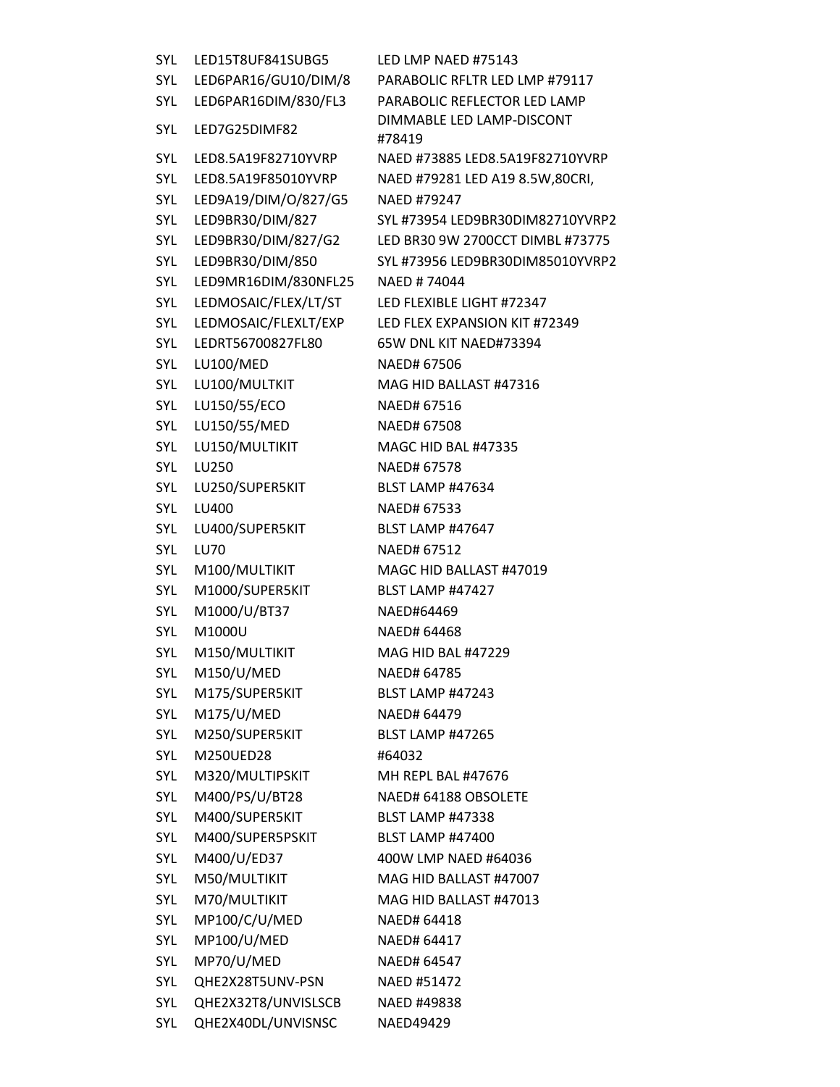SYL LED15T8UF841SUBG5 LED LMP NAED #75143 SYL LED6PAR16/GU10/DIM/8 PARABOLIC RFLTR LED LMP #79117 SYL LED6PAR16DIM/830/FL3 PARABOLIC REFLECTOR LED LAMP SYL LED7G25DIMF82 DIMMABLE LED LAMP-DISCONT #78419 SYL LED8.5A19F82710YVRP NAED #73885 LED8.5A19F82710YVRP SYL LED8.5A19F85010YVRP NAED #79281 LED A19 8.5W,80CRI, SYL LED9A19/DIM/O/827/G5 NAED #79247 SYL LED9BR30/DIM/827 SYL #73954 LED9BR30DIM82710YVRP2 SYL LED9BR30/DIM/827/G2 LED BR30 9W 2700CCT DIMBL #73775 SYL LED9BR30/DIM/850 SYL #73956 LED9BR30DIM85010YVRP2 SYL LED9MR16DIM/830NFL25 NAED # 74044 SYL LEDMOSAIC/FLEX/LT/ST LED FLEXIBLE LIGHT #72347 SYL LEDMOSAIC/FLEXLT/EXP LED FLEX EXPANSION KIT #72349 SYL LEDRT56700827FL80 65W DNL KIT NAED#73394 SYL LU100/MED NAED# 67506 SYL LU100/MULTKIT MAG HID BALLAST #47316 SYL LU150/55/ECO NAED# 67516 SYL LU150/55/MED NAED# 67508 SYL LU150/MULTIKIT MAGC HID BAL #47335 SYL LU250 NAED# 67578 SYL LU250/SUPER5KIT BLST LAMP #47634 SYL LU400 NAED# 67533 SYL LU400/SUPER5KIT BLST LAMP #47647 SYL LU70 NAED# 67512 SYL M100/MULTIKIT MAGC HID BALLAST #47019 SYL M1000/SUPER5KIT BLST LAMP #47427 SYL M1000/U/BT37 NAED#64469 SYL M1000U NAED# 64468 SYL M150/MULTIKIT MAG HID BAL #47229 SYL M150/U/MED NAED# 64785 SYL M175/SUPER5KIT BLST LAMP #47243 SYL M175/U/MED NAED# 64479 SYL M250/SUPER5KIT BLST LAMP #47265 SYL M250UED28 #64032 SYL M320/MULTIPSKIT MH REPL BAL #47676 SYL M400/PS/U/BT28 NAED# 64188 OBSOLETE SYL M400/SUPER5KIT BLST LAMP #47338 SYL M400/SUPER5PSKIT BLST LAMP #47400 SYL M400/U/ED37 400W LMP NAED #64036 SYL M50/MULTIKIT MAG HID BALLAST #47007 SYL M70/MULTIKIT MAG HID BALLAST #47013 SYL MP100/C/U/MED NAED# 64418 SYL MP100/U/MED NAED# 64417 SYL MP70/U/MED NAED# 64547 SYL QHE2X28T5UNV-PSN NAED #51472 SYL QHE2X32T8/UNVISLSCB NAED #49838 SYL QHE2X40DL/UNVISNSC NAED49429